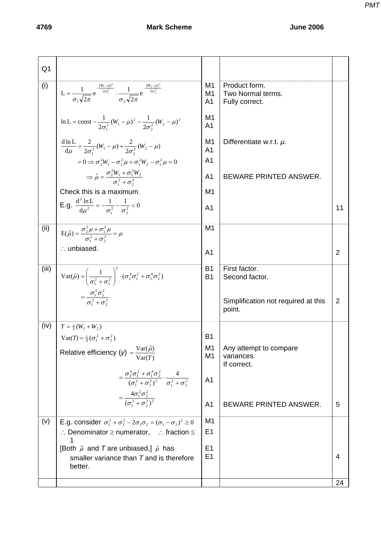| Q <sub>1</sub> |                                                                                                                                                     |                                        |                                                      |                |
|----------------|-----------------------------------------------------------------------------------------------------------------------------------------------------|----------------------------------------|------------------------------------------------------|----------------|
| (i)            | $L = \frac{1}{\sigma \sqrt{2\pi}} e^{-\frac{(W_1 - \mu)^2}{2\sigma_1^2}} \cdot \frac{1}{\sigma \sqrt{2\pi}} e^{-\frac{(W_2 - \mu)^2}{2\sigma_2^2}}$ | M1<br>M <sub>1</sub><br>A <sub>1</sub> | Product form.<br>Two Normal terms.<br>Fully correct. |                |
|                | $\ln L = \text{const} - \frac{1}{2\sigma^2} (W_1 - \mu)^2 - \frac{1}{2\sigma^2} (W_2 - \mu)^2$                                                      | M1<br>A <sub>1</sub>                   |                                                      |                |
|                | $\frac{d \ln L}{d \mu} = \frac{2}{2\sigma_1^2} (W_1 - \mu) + \frac{2}{2\sigma_2^2} (W_2 - \mu)$                                                     | M <sub>1</sub><br>A <sub>1</sub>       | Differentiate w.r.t. $\mu$ .                         |                |
|                | $= 0 \Rightarrow \sigma_2^2 W_1 - \sigma_2^2 \mu + \sigma_1^2 W_2 - \sigma_1^2 \mu = 0$                                                             | A <sub>1</sub>                         |                                                      |                |
|                | $\Rightarrow \hat{\mu} = \frac{\sigma_2^2 W_1 + \sigma_1^2 W_2}{\sigma_1^2 + \sigma_2^2}$                                                           | A <sub>1</sub>                         | BEWARE PRINTED ANSWER.                               |                |
|                | Check this is a maximum.                                                                                                                            | M1                                     |                                                      |                |
|                | <b>E.g.</b> $\frac{d^2 \ln L}{du^2} = -\frac{1}{\sigma_1^2} - \frac{1}{\sigma_2^2} < 0$                                                             | A <sub>1</sub>                         |                                                      | 11             |
| (ii)           | $E(\hat{\mu}) = \frac{\sigma_2^2 \mu + \sigma_1^2 \mu}{\sigma_1^2 + \sigma_2^2} = \mu$                                                              | M <sub>1</sub>                         |                                                      |                |
|                | $\therefore$ unbiased.                                                                                                                              | A <sub>1</sub>                         |                                                      | $\overline{2}$ |
| (iii)          | Var( $\hat{\mu}$ ) = $\left(\frac{1}{\sigma_1^2 + \sigma_1^2}\right)^2 \cdot (\sigma_2^4 \sigma_1^2 + \sigma_1^4 \sigma_2^2)$                       | <b>B1</b><br><b>B1</b>                 | First factor.<br>Second factor.                      |                |
|                | $=\frac{\sigma_1^2 \sigma_2^2}{\sigma_1^2 + \sigma_2^2}$                                                                                            |                                        | Simplification not required at this<br>point.        | $\overline{2}$ |
| (iv)           | $T = \frac{1}{2}(W_1 + W_2)$                                                                                                                        |                                        |                                                      |                |
|                | $Var(T) = \frac{1}{4}(\sigma_1^2 + \sigma_2^2)$                                                                                                     | <b>B1</b><br>M <sub>1</sub>            | Any attempt to compare                               |                |
|                | Relative efficiency (y) = $\frac{\text{Var}(\hat{\mu})}{\text{Var}(\mathcal{T})}$                                                                   | M <sub>1</sub>                         | variances.<br>If correct.                            |                |
|                | $=\frac{\sigma_2^4 \sigma_1^2 + \sigma_1^4 \sigma_2^2}{(\sigma_1^2 + \sigma_2^2)^2} \cdot \frac{4}{\sigma_1^2 + \sigma_2^2}$                        | A <sub>1</sub>                         |                                                      |                |
|                | $=\frac{4\sigma_1^2\sigma_2^2}{(\sigma_1^2+\sigma_2^2)^2}$                                                                                          | A <sub>1</sub>                         | BEWARE PRINTED ANSWER.                               | 5              |
| (v)            | E.g. consider $\sigma_1^2 + \sigma_2^2 - 2\sigma_1 \sigma_2 = (\sigma_1 - \sigma_2)^2 \ge 0$                                                        | M1                                     |                                                      |                |
|                | : Denominator $\geq$ numerator, : fraction $\leq$<br>1                                                                                              | E <sub>1</sub>                         |                                                      |                |
|                | [Both $\hat{\mu}$ and T are unbiased,] $\hat{\mu}$ has<br>smaller variance than $T$ and is therefore<br>better.                                     | E <sub>1</sub><br>E1                   |                                                      | 4              |
|                |                                                                                                                                                     |                                        |                                                      | 24             |

*PMT*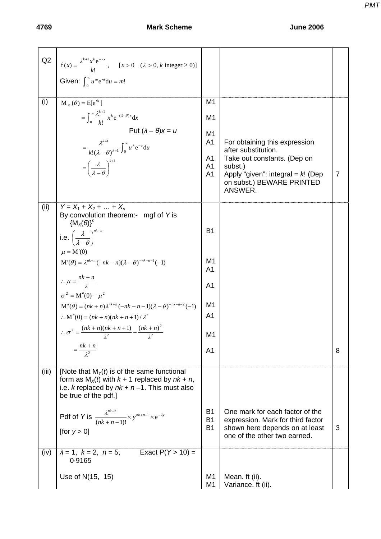### **4769 Mark Scheme June 2006**

| Q2    | $f(x) = \frac{\lambda^{k+1} x^k e^{-\lambda x}}{k!}, \quad [x > 0 \quad (\lambda > 0, k \text{ integer } \ge 0)]$ |                                  |                                                                      |                |
|-------|-------------------------------------------------------------------------------------------------------------------|----------------------------------|----------------------------------------------------------------------|----------------|
|       | Given: $\int_{0}^{\infty} u^m e^{-u} du = m!$                                                                     |                                  |                                                                      |                |
| (i)   | $M_{Y}(\theta) = E[e^{\theta x}]$                                                                                 | M <sub>1</sub>                   |                                                                      |                |
|       | $= \int_0^\infty \frac{\lambda^{k+1}}{k!} x^k e^{-(\lambda-\theta)x} dx$                                          | M <sub>1</sub>                   |                                                                      |                |
|       | Put $(\lambda - \theta)x = u$                                                                                     | M <sub>1</sub>                   |                                                                      |                |
|       | $=\frac{\lambda^{k+1}}{k!(\lambda-\theta)^{k+1}}\int_0^\infty u^k e^{-u}du$                                       | A <sub>1</sub>                   | For obtaining this expression                                        |                |
|       |                                                                                                                   | A <sub>1</sub>                   | after substitution.<br>Take out constants. (Dep on                   |                |
|       | $=\left(\frac{\lambda}{\lambda-\theta}\right)^{k+1}$                                                              | A <sub>1</sub><br>A <sub>1</sub> | subst.)<br>Apply "given": integral = $k!$ (Dep                       | $\overline{7}$ |
|       |                                                                                                                   |                                  | on subst.) BEWARE PRINTED<br>ANSWER.                                 |                |
| (ii)  | $Y = X_1 + X_2 +  + X_n$                                                                                          |                                  |                                                                      |                |
|       | By convolution theorem:- mgf of Y is<br>${M_x(\theta)}^n$                                                         |                                  |                                                                      |                |
|       | i.e. $\left(\frac{\lambda}{\lambda-A}\right)^{nk+n}$                                                              | <b>B1</b>                        |                                                                      |                |
|       | $\mu = M'(0)$                                                                                                     |                                  |                                                                      |                |
|       | $M'(\theta) = \lambda^{nk+n} (-nk - n)(\lambda - \theta)^{-nk-n-1} (-1)$                                          | M <sub>1</sub>                   |                                                                      |                |
|       |                                                                                                                   | A <sub>1</sub>                   |                                                                      |                |
|       | $\therefore \mu = \frac{nk+n}{\lambda}$<br>$\sigma^2 = M''(0) - \mu^2$                                            | A <sub>1</sub>                   |                                                                      |                |
|       | $\mathbf{M}''(\theta) = (nk+n)\lambda^{nk+n}(-nk-n-1)(\lambda-\theta)^{-nk-n-2}(-1)$                              | M1                               |                                                                      |                |
|       | $\therefore$ M''(0) = $(nk + n)(nk + n + 1)/\lambda^2$                                                            | A <sub>1</sub>                   |                                                                      |                |
|       | $\therefore \sigma^2 = \frac{(nk+n)(nk+n+1)}{\lambda^2} - \frac{(nk+n)^2}{\lambda^2}$                             | M <sub>1</sub>                   |                                                                      |                |
|       | $=\frac{nk+n}{2}$                                                                                                 | A <sub>1</sub>                   |                                                                      | 8              |
|       |                                                                                                                   |                                  |                                                                      |                |
| (iii) | [Note that $M_{\gamma}(t)$ is of the same functional<br>form as $M_x(t)$ with $k + 1$ replaced by $nk + n$ ,      |                                  |                                                                      |                |
|       | i.e. k replaced by $nk + n - 1$ . This must also<br>be true of the pdf.]                                          |                                  |                                                                      |                |
|       |                                                                                                                   |                                  |                                                                      |                |
|       | Pdf of Y is $\frac{\lambda^{nk+n}}{(nk+n-1)!} \times y^{nk+n-1} \times e^{-\lambda y}$                            | <b>B1</b><br><b>B1</b>           | One mark for each factor of the<br>expression. Mark for third factor |                |
|       | [for $y > 0$ ]                                                                                                    | <b>B1</b>                        | shown here depends on at least<br>one of the other two earned.       | 3              |
| (iv)  | $\lambda = 1, k = 2, n = 5,$<br>Exact $P(Y > 10) =$<br>0.9165                                                     |                                  |                                                                      |                |
|       | Use of N(15, 15)                                                                                                  | M <sub>1</sub>                   | Mean. ft (ii).                                                       |                |
|       |                                                                                                                   | M <sub>1</sub>                   | Variance. ft (ii).                                                   |                |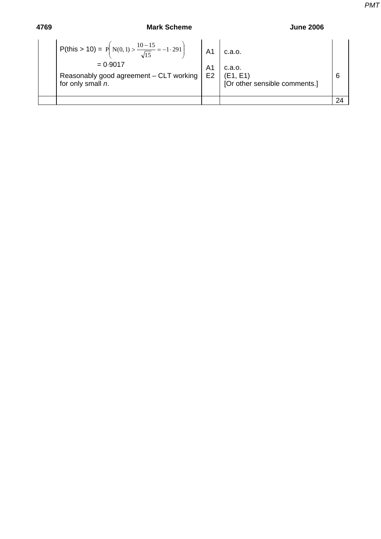[Or other sensible comments.]

| 4769 | <b>Mark Scheme</b>                                                |                | <b>June 2006</b> |   |  |
|------|-------------------------------------------------------------------|----------------|------------------|---|--|
|      | P(this > 10) = P(N(0, 1) > $\frac{10-15}{\sqrt{15}}$ = -1.291) A1 |                | c.a.o.           |   |  |
|      | $= 0.9017$                                                        | A <sub>1</sub> | c.a.o.           |   |  |
|      | Reasonably good agreement - CLT working   E2                      |                | (E1, E1)         | 6 |  |

24

Reas for only small *n*. *PMT*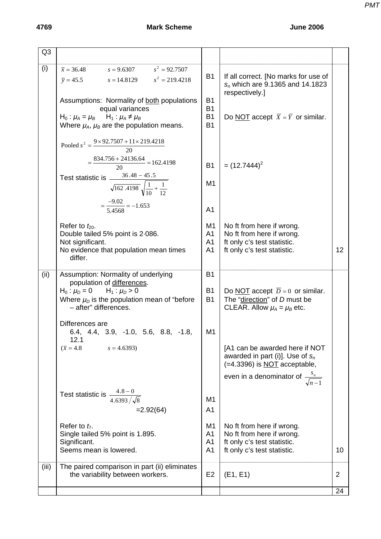# **4769 Mark Scheme June 2006**

| Q <sub>3</sub> |                                                                                                                |                                     |                                                                                                                   |                |
|----------------|----------------------------------------------------------------------------------------------------------------|-------------------------------------|-------------------------------------------------------------------------------------------------------------------|----------------|
| (i)            | $\bar{x} = 36.48$ $s = 9.6307$ $s^2 = 92.7507$<br>$\bar{y} = 45.5$ $s = 14.8129$ $s^2 = 219.4218$              | <b>B1</b>                           | If all correct. [No marks for use of<br>$s_n$ which are 9.1365 and 14.1823<br>respectively.]                      |                |
|                | Assumptions: Normality of both populations<br>equal variances<br>$H_0: \mu_A = \mu_B$ $H_1: \mu_A \neq \mu_B$  | <b>B1</b><br><b>B1</b><br><b>B1</b> | Do <u>NOT</u> accept $\overline{X} = \overline{Y}$ or similar.                                                    |                |
|                | Where $\mu_A$ , $\mu_B$ are the population means.                                                              | <b>B1</b>                           |                                                                                                                   |                |
|                | Pooled $s^2 = \frac{9 \times 92.7507 + 11 \times 219.4218}{20}$                                                |                                     |                                                                                                                   |                |
|                | $=\frac{834.756 + 24136.64}{20} = 162.4198$                                                                    | <b>B1</b>                           | $=$ (12.7444) <sup>2</sup>                                                                                        |                |
|                | Test statistic is $\frac{36.48 - 45.5}{\sqrt{162.4198} \sqrt{\frac{1}{10} + \frac{1}{12}}}$                    | M1                                  |                                                                                                                   |                |
|                | $=\frac{-9.02}{5.4568}=-1.653$                                                                                 | A <sub>1</sub>                      |                                                                                                                   |                |
|                | Refer to $t_{20}$ .<br>Double tailed 5% point is 2.086.                                                        | M1<br>A <sub>1</sub>                | No ft from here if wrong.<br>No ft from here if wrong.                                                            |                |
|                | Not significant.<br>No evidence that population mean times<br>differ.                                          | A <sub>1</sub><br>A <sub>1</sub>    | ft only c's test statistic.<br>ft only c's test statistic.                                                        | 12             |
| (ii)           | Assumption: Normality of underlying<br>population of differences.                                              | <b>B1</b>                           |                                                                                                                   |                |
|                | $H_0: \mu_D = 0$ $H_1: \mu_D > 0$<br>Where $\mu_D$ is the population mean of "before"<br>- after" differences. | <b>B1</b><br><b>B1</b>              | Do NOT accept $\overline{D} = 0$ or similar.<br>The "direction" of D must be<br>CLEAR. Allow $\mu_A = \mu_B$ etc. |                |
|                | Differences are<br>$6.4, 4.4, 3.9, -1.0, 5.6, 8.8, -1.8,$<br>12.1                                              | M1                                  |                                                                                                                   |                |
|                | $(\bar{x} = 4.8)$<br>$s = 4.6393$                                                                              |                                     | [A1 can be awarded here if NOT<br>awarded in part (i)]. Use of $s_n$<br>(=4.3396) is NOT acceptable,              |                |
|                |                                                                                                                |                                     | even in a denominator of $\frac{s_n}{\sqrt{n-1}}$                                                                 |                |
|                | Test statistic is $\frac{4.8-0}{4.6393/\sqrt{8}}$                                                              | M <sub>1</sub>                      |                                                                                                                   |                |
|                | $=2.92(64)$                                                                                                    | A <sub>1</sub>                      |                                                                                                                   |                |
|                | Refer to $t_7$ .<br>Single tailed 5% point is 1.895.                                                           | M1<br>A <sub>1</sub>                | No ft from here if wrong.<br>No ft from here if wrong.                                                            |                |
|                | Significant.<br>Seems mean is lowered.                                                                         | A <sub>1</sub><br>A <sub>1</sub>    | ft only c's test statistic.<br>ft only c's test statistic.                                                        | 10             |
| (iii)          | The paired comparison in part (ii) eliminates<br>the variability between workers.                              | E <sub>2</sub>                      | (E1, E1)                                                                                                          | $\overline{2}$ |
|                |                                                                                                                |                                     |                                                                                                                   | 24             |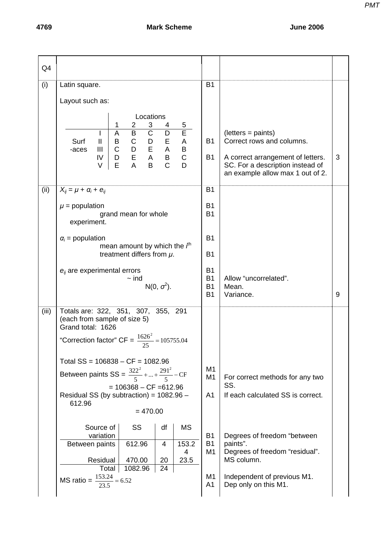| Q4    |                                                                                                                                                                                                                                                                                                                    |                                                  |                                                                                                                                                                |   |
|-------|--------------------------------------------------------------------------------------------------------------------------------------------------------------------------------------------------------------------------------------------------------------------------------------------------------------------|--------------------------------------------------|----------------------------------------------------------------------------------------------------------------------------------------------------------------|---|
| (i)   | Latin square.                                                                                                                                                                                                                                                                                                      | <b>B1</b>                                        |                                                                                                                                                                |   |
|       | Layout such as:                                                                                                                                                                                                                                                                                                    |                                                  |                                                                                                                                                                |   |
|       | Locations<br>3<br>1<br>2<br>$\overline{5}$<br>4<br>Ē<br>$\overline{\text{C}}$<br>$\overline{B}$<br>$\overline{D}$<br>$\overline{A}$<br>$\boldsymbol{\mathsf{A}}$<br>$\ensuremath{\mathsf{II}}$<br>Surf<br>B<br>$\mathsf{C}$<br>$\overline{C}$<br>$\mathbf{III}$<br>-aces<br>$\mathsf{D}$<br>IV<br>E<br>D<br>$\vee$ | <b>B1</b><br><b>B1</b>                           | $(lefters = paints)$<br>Correct rows and columns.<br>A correct arrangement of letters.<br>SC. For a description instead of<br>an example allow max 1 out of 2. | 3 |
| (ii)  | $X_{ij} = \mu + \alpha_i + e_{ij}$                                                                                                                                                                                                                                                                                 | <b>B1</b>                                        |                                                                                                                                                                |   |
|       | $\mu$ = population<br>grand mean for whole<br>experiment.                                                                                                                                                                                                                                                          | <b>B1</b><br><b>B1</b>                           |                                                                                                                                                                |   |
|       | $\alpha_i$ = population                                                                                                                                                                                                                                                                                            | <b>B1</b>                                        |                                                                                                                                                                |   |
|       | mean amount by which the $fth$<br>treatment differs from $\mu$ .                                                                                                                                                                                                                                                   | <b>B1</b>                                        |                                                                                                                                                                |   |
|       | $e_{ij}$ are experimental errors<br>$\sim$ ind<br>$N(0, \sigma^2)$ .                                                                                                                                                                                                                                               | <b>B1</b><br><b>B1</b><br><b>B1</b><br><b>B1</b> | Allow "uncorrelated".<br>Mean.<br>Variance.                                                                                                                    | 9 |
| (iii) | Totals are: 322, 351, 307, 355, 291<br>(each from sample of size 5)<br>Grand total: 1626                                                                                                                                                                                                                           |                                                  |                                                                                                                                                                |   |
|       | "Correction factor" $CF = \frac{1626^2}{25} = 105755.04$<br>25                                                                                                                                                                                                                                                     |                                                  |                                                                                                                                                                |   |
|       | Total $SS = 106838 - CF = 1082.96$<br>Between paints SS = $\frac{322^2}{5} +  + \frac{291^2}{5} - CF$<br>$= 106368 - CF = 612.96$<br>Residual SS (by subtraction) = $1082.96 -$<br>612.96<br>$= 470.00$                                                                                                            | M1<br>M1<br>A <sub>1</sub>                       | For correct methods for any two<br>SS.<br>If each calculated SS is correct.                                                                                    |   |
|       | Source of<br><b>SS</b><br><b>MS</b><br>df<br>variation<br>612.96<br>153.2<br>Between paints<br>4<br>4<br>Residual<br>470.00<br>20<br>23.5                                                                                                                                                                          | <b>B1</b><br><b>B1</b><br>M1                     | Degrees of freedom "between<br>paints".<br>Degrees of freedom "residual".<br>MS column.                                                                        |   |
|       | 24<br>Total<br>1082.96<br>MS ratio = $\frac{153.24}{23.5}$ = 6.52                                                                                                                                                                                                                                                  | M <sub>1</sub><br>A <sub>1</sub>                 | Independent of previous M1.<br>Dep only on this M1.                                                                                                            |   |

*PMT*